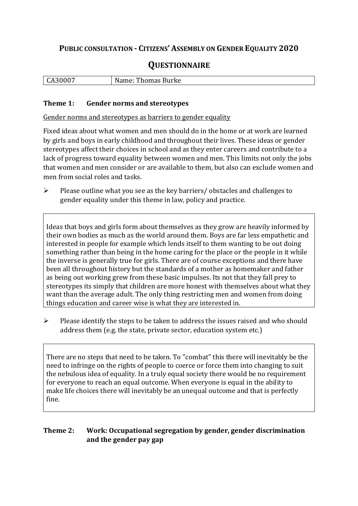# **PUBLIC CONSULTATION - CITIZENS' ASSEMBLY ON GENDER EQUALITY 2020**

# **QUESTIONNAIRE**

| L C.<br>^``<br>∼<br>ີ | , Burke<br>non<br>w<br>THOMAS<br>. |
|-----------------------|------------------------------------|
|                       |                                    |

#### **Theme 1: Gender norms and stereotypes**

Gender norms and stereotypes as barriers to gender equality

Fixed ideas about what women and men should do in the home or at work are learned by girls and boys in early childhood and throughout their lives. These ideas or gender stereotypes affect their choices in school and as they enter careers and contribute to a lack of progress toward equality between women and men. This limits not only the jobs that women and men consider or are available to them, but also can exclude women and men from social roles and tasks.

➢ Please outline what you see as the key barriers/ obstacles and challenges to gender equality under this theme in law, policy and practice.

Ideas that boys and girls form about themselves as they grow are heavily informed by their own bodies as much as the world around them. Boys are far less empathetic and interested in people for example which lends itself to them wanting to be out doing something rather than being in the home caring for the place or the people in it while the inverse is generally true for girls. There are of course exceptions and there have been all throughout history but the standards of a mother as homemaker and father as being out working grew from these basic impulses. Its not that they fall prey to stereotypes its simply that children are more honest with themselves about what they want than the average adult. The only thing restricting men and women from doing things education and career wise is what they are interested in.

 $\triangleright$  Please identify the steps to be taken to address the issues raised and who should address them (e.g. the state, private sector, education system etc.)

There are no steps that need to be taken. To "combat" this there will inevitably be the need to infringe on the rights of people to coerce or force them into changing to suit the nebulous idea of equality. In a truly equal society there would be no requirement for everyone to reach an equal outcome. When everyone is equal in the ability to make life choices there will inevitably be an unequal outcome and that is perfectly fine.

### **Theme 2: Work: Occupational segregation by gender, gender discrimination and the gender pay gap**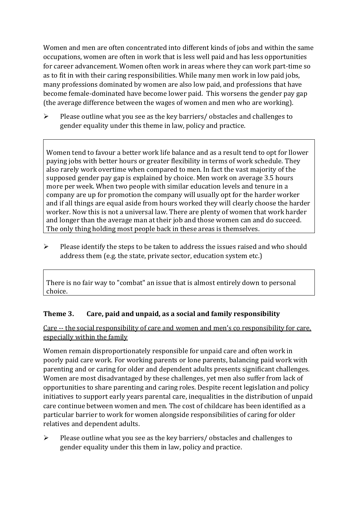Women and men are often concentrated into different kinds of jobs and within the same occupations, women are often in work that is less well paid and has less opportunities for career advancement. Women often work in areas where they can work part-time so as to fit in with their caring responsibilities. While many men work in low paid jobs, many professions dominated by women are also low paid, and professions that have become female-dominated have become lower paid. This worsens the gender pay gap (the average difference between the wages of women and men who are working).

➢ Please outline what you see as the key barriers/ obstacles and challenges to gender equality under this theme in law, policy and practice.

Women tend to favour a better work life balance and as a result tend to opt for llower paying jobs with better hours or greater flexibility in terms of work schedule. They also rarely work overtime when compared to men. In fact the vast majority of the supposed gender pay gap is explained by choice. Men work on average 3.5 hours more per week. When two people with similar education levels and tenure in a company are up for promotion the company will usually opt for the harder worker and if all things are equal aside from hours worked they will clearly choose the harder worker. Now this is not a universal law. There are plenty of women that work harder and longer than the average man at their job and those women can and do succeed. The only thing holding most people back in these areas is themselves.

➢ Please identify the steps to be taken to address the issues raised and who should address them (e.g. the state, private sector, education system etc.)

There is no fair way to "combat" an issue that is almost entirely down to personal choice.

## **Theme 3. Care, paid and unpaid, as a social and family responsibility**

Care -- the social responsibility of care and women and men's co responsibility for care, especially within the family

Women remain disproportionately responsible for unpaid care and often work in poorly paid care work. For working parents or [lone parents,](https://aran.library.nuigalway.ie/bitstream/handle/10379/6044/Millar_and_Crosse_Activation_Report.pdf?sequence=1&isAllowed=y) balancing paid work with parenting and or caring for older and dependent adults presents significant challenges. Women are [most disadvantaged by these challenges,](https://eige.europa.eu/gender-equality-index/game/IE/W) yet men also suffer from lack of opportunities to share parenting and caring roles. Despite recent legislation and policy initiatives to support early years parental care, [inequalities in the distribution of unpaid](https://www.ihrec.ie/app/uploads/2019/07/Caring-and-Unpaid-Work-in-Ireland_Final.pdf)  [care](https://www.ihrec.ie/app/uploads/2019/07/Caring-and-Unpaid-Work-in-Ireland_Final.pdf) continue between women and men. The cost of childcare has been identified as a particular barrier to work for women alongside responsibilities of caring for older relatives and dependent adults.

➢ Please outline what you see as the key barriers/ obstacles and challenges to gender equality under this them in law, policy and practice.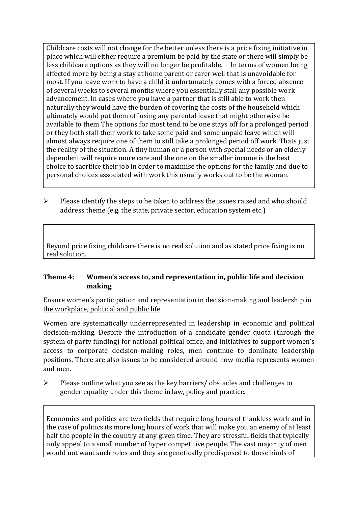Childcare costs will not change for the better unless there is a price fixing initiative in place which will either require a premium be paid by the state or there will simply be less childcare options as they will no longer be profitable. In terms of women being affected more by being a stay at home parent or carer well that is unavoidable for most. If you leave work to have a child it unfortunately comes with a forced absence of several weeks to several months where you essentially stall any possible work advancement. In cases where you have a partner that is still able to work then naturally they would have the burden of covering the costs of the household which ultimately would put them off using any parental leave that might otherwise be available to them The options for most tend to be one stays off for a prolonged period or they both stall their work to take some paid and some unpaid leave which will almost always require one of them to still take a prolonged period off work. Thats just the reality of the situation. A tiny human or a person with special needs or an elderly dependent will require more care and the one on the smaller income is the best choice to sacrifice their job in order to maximise the options for the family and due to personal choices associated with work this usually works out to be the woman.

➢ Please identify the steps to be taken to address the issues raised and who should address theme (e.g. the state, private sector, education system etc.)

Beyond price fixing childcare there is no real solution and as stated price fixing is no real solution.

#### **Theme 4: Women's access to, and representation in, public life and decision making**

Ensure women's participation and representation in decision-making and leadership in the workplace, political and public life

Women are systematically underrepresented in leadership in [economic](https://eige.europa.eu/gender-equality-index/2019/compare-countries/power/2/bar) and [political](https://eige.europa.eu/gender-equality-index/2019/compare-countries/power/1/bar)  [decision-](https://eige.europa.eu/gender-equality-index/2019/compare-countries/power/1/bar)making. Despite the introduction of a candidate gender quota (through the system of party funding) for national political office, and [initiatives](https://betterbalance.ie/) to support women's access to corporate decision-making roles, men continue to dominate leadership positions. There are also issues to be considered around how media represents women and men.

 $\triangleright$  Please outline what you see as the key barriers/obstacles and challenges to gender equality under this theme in law, policy and practice.

Economics and politics are two fields that require long hours of thankless work and in the case of politics its more long hours of work that will make you an enemy of at least half the people in the country at any given time. They are stressful fields that typically only appeal to a small number of hyper competitive people. The vast majority of men would not want such roles and they are genetically predisposed to those kinds of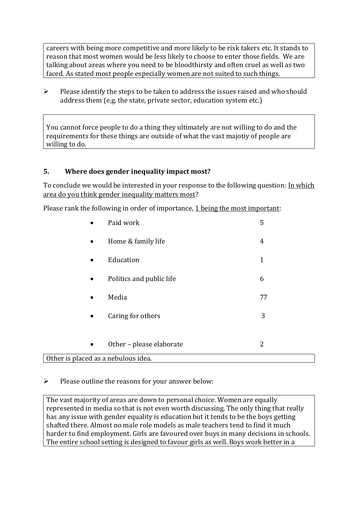careers with being more competitive and more likely to be risk takers etc. It stands to reason that most women would be less likely to choose to enter those fields. We are talking about areas where you need to be bloodthirsty and often cruel as well as two faced. As stated most people especially women are not suited to such things.

➢ Please identify the steps to be taken to address the issues raised and who should address them (e.g. the state, private sector, education system etc.)

You cannot force people to do a thing they ultimately are not willing to do and the requirements for these things are outside of what the vast majotiy of people are willing to do.

### **5. Where does gender inequality impact most?**

To conclude we would be interested in your response to the following question: In which area do you think gender inequality matters most?

Please rank the following in order of importance, 1 being the most important:

|                                     | Paid work                | 5            |  |
|-------------------------------------|--------------------------|--------------|--|
| $\bullet$                           | Home & family life       | 4            |  |
| $\bullet$                           | Education                | $\mathbf{1}$ |  |
| $\bullet$                           | Politics and public life | 6            |  |
| $\bullet$                           | Media                    | 77           |  |
| $\bullet$                           | Caring for others        | 3            |  |
|                                     |                          |              |  |
| $\bullet$                           | Other - please elaborate | 2            |  |
| Other is placed as a nebulous idea. |                          |              |  |

 $\triangleright$  Please outline the reasons for your answer below:

The vast majority of areas are down to personal choice. Women are equally represented in media so that is not even worth discussing. The only thing that really has any issue with gender equality is education but it tends to be the boys getting shafted there. Almost no male role models as male teachers tend to find it much harder to find employment. Girls are favoured over buys in many decisions in schools. The entire school setting is designed to favour girls as well. Boys work better in a